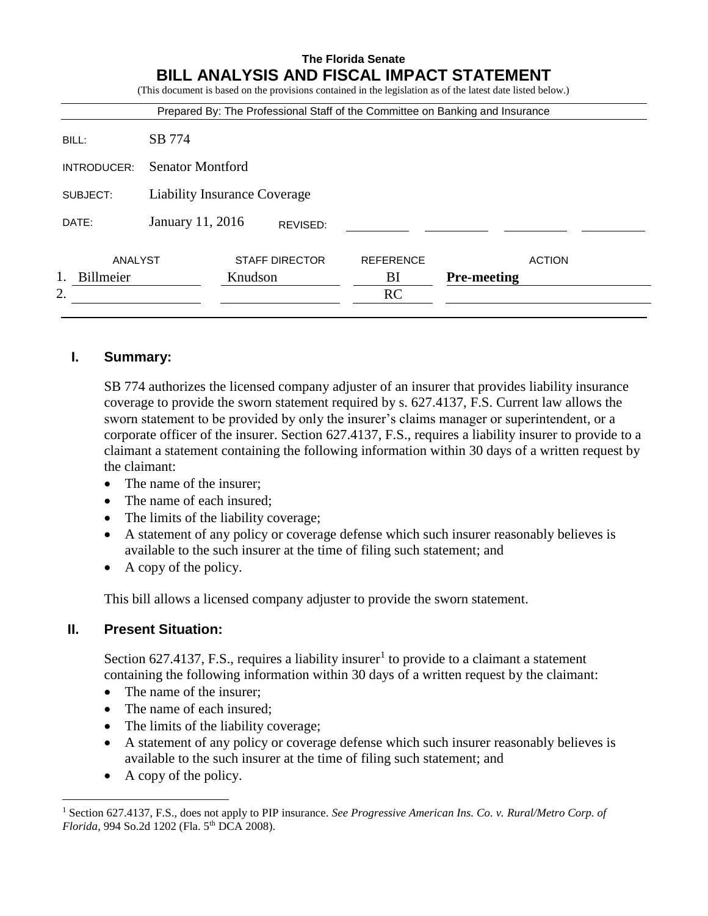|             | <b>BILL ANALYSIS AND FISCAL IMPACT STATEMENT</b><br>(This document is based on the provisions contained in the legislation as of the latest date listed below.)<br>Prepared By: The Professional Staff of the Committee on Banking and Insurance |                       |                  |                    |               |
|-------------|--------------------------------------------------------------------------------------------------------------------------------------------------------------------------------------------------------------------------------------------------|-----------------------|------------------|--------------------|---------------|
|             |                                                                                                                                                                                                                                                  |                       |                  |                    |               |
| BILL:       | SB 774                                                                                                                                                                                                                                           |                       |                  |                    |               |
| INTRODUCER: | <b>Senator Montford</b>                                                                                                                                                                                                                          |                       |                  |                    |               |
| SUBJECT:    | Liability Insurance Coverage                                                                                                                                                                                                                     |                       |                  |                    |               |
| DATE:       | January 11, 2016                                                                                                                                                                                                                                 |                       |                  |                    |               |
| ANALYST     |                                                                                                                                                                                                                                                  | <b>STAFF DIRECTOR</b> | <b>REFERENCE</b> |                    | <b>ACTION</b> |
| Billmeier   | Knudson                                                                                                                                                                                                                                          |                       | BI               | <b>Pre-meeting</b> |               |
| 2.          |                                                                                                                                                                                                                                                  |                       | RC               |                    |               |

## **I. Summary:**

SB 774 authorizes the licensed company adjuster of an insurer that provides liability insurance coverage to provide the sworn statement required by s. 627.4137, F.S. Current law allows the sworn statement to be provided by only the insurer's claims manager or superintendent, or a corporate officer of the insurer. Section 627.4137, F.S., requires a liability insurer to provide to a claimant a statement containing the following information within 30 days of a written request by the claimant:

- The name of the insurer;
- The name of each insured;
- The limits of the liability coverage;
- A statement of any policy or coverage defense which such insurer reasonably believes is available to the such insurer at the time of filing such statement; and
- A copy of the policy.

This bill allows a licensed company adjuster to provide the sworn statement.

## **II. Present Situation:**

Section 627.4137, F.S., requires a liability insurer<sup>1</sup> to provide to a claimant a statement containing the following information within 30 days of a written request by the claimant:

- The name of the insurer;
- The name of each insured;
- The limits of the liability coverage;
- A statement of any policy or coverage defense which such insurer reasonably believes is available to the such insurer at the time of filing such statement; and
- A copy of the policy.

 $\overline{a}$ 

<sup>1</sup> Section 627.4137, F.S., does not apply to PIP insurance. *See Progressive American Ins. Co. v. Rural/Metro Corp. of Florida*, 994 So.2d 1202 (Fla. 5<sup>th</sup> DCA 2008).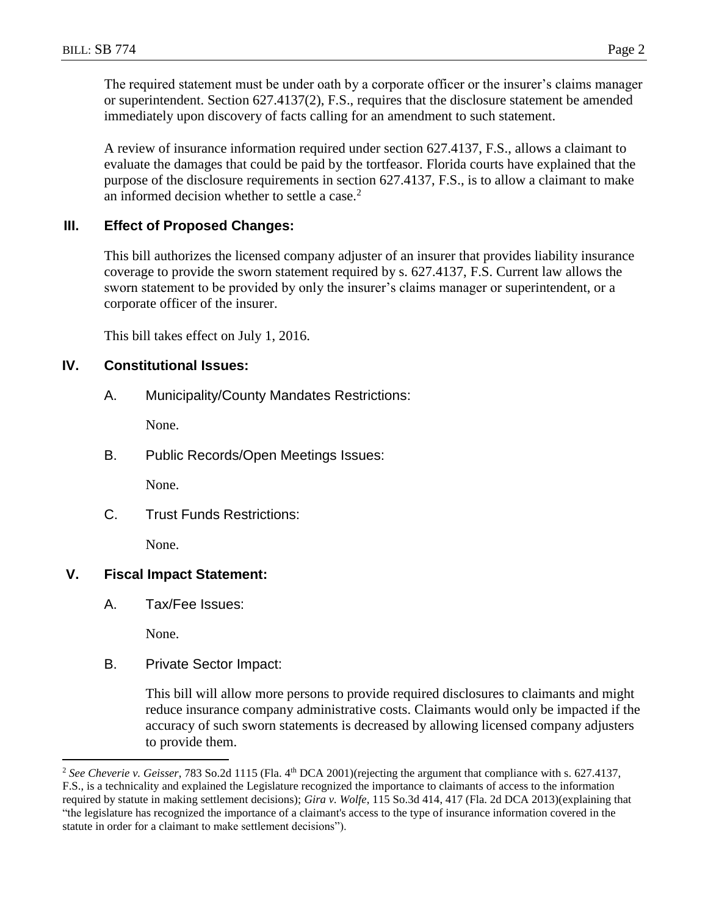The required statement must be under oath by a corporate officer or the insurer's claims manager or superintendent. Section 627.4137(2), F.S., requires that the disclosure statement be amended immediately upon discovery of facts calling for an amendment to such statement.

A review of insurance information required under section 627.4137, F.S., allows a claimant to evaluate the damages that could be paid by the tortfeasor. Florida courts have explained that the purpose of the disclosure requirements in section 627.4137, F.S., is to allow a claimant to make an informed decision whether to settle a case. $<sup>2</sup>$ </sup>

### **III. Effect of Proposed Changes:**

This bill authorizes the licensed company adjuster of an insurer that provides liability insurance coverage to provide the sworn statement required by s. 627.4137, F.S. Current law allows the sworn statement to be provided by only the insurer's claims manager or superintendent, or a corporate officer of the insurer.

This bill takes effect on July 1, 2016.

#### **IV. Constitutional Issues:**

A. Municipality/County Mandates Restrictions:

None.

B. Public Records/Open Meetings Issues:

None.

C. Trust Funds Restrictions:

None.

### **V. Fiscal Impact Statement:**

A. Tax/Fee Issues:

None.

 $\overline{a}$ 

B. Private Sector Impact:

This bill will allow more persons to provide required disclosures to claimants and might reduce insurance company administrative costs. Claimants would only be impacted if the accuracy of such sworn statements is decreased by allowing licensed company adjusters to provide them.

<sup>&</sup>lt;sup>2</sup> See Cheverie v. Geisser, 783 So.2d 1115 (Fla. 4<sup>th</sup> DCA 2001)(rejecting the argument that compliance with s. 627.4137, F.S., is a technicality and explained the Legislature recognized the importance to claimants of access to the information required by statute in making settlement decisions); *Gira v. Wolfe*, 115 So.3d 414, 417 (Fla. 2d DCA 2013)(explaining that "the legislature has recognized the importance of a claimant's access to the type of insurance information covered in the statute in order for a claimant to make settlement decisions").